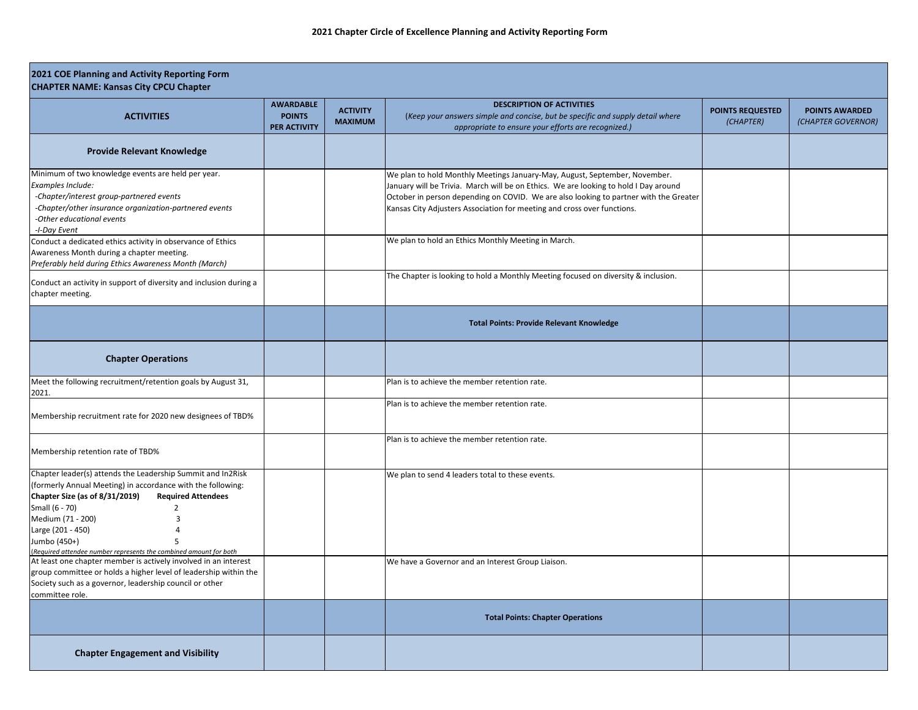| tail where                             | <b>POINTS REQUESTED</b><br>(CHAPTER) | <b>POINTS AWARDED</b><br>(CHAPTER GOVERNOR) |
|----------------------------------------|--------------------------------------|---------------------------------------------|
|                                        |                                      |                                             |
| ember.<br>ay around<br>ith the Greater |                                      |                                             |
|                                        |                                      |                                             |
| nclusion.                              |                                      |                                             |
|                                        |                                      |                                             |
|                                        |                                      |                                             |
|                                        |                                      |                                             |
|                                        |                                      |                                             |
|                                        |                                      |                                             |
|                                        |                                      |                                             |
|                                        |                                      |                                             |
|                                        |                                      |                                             |
|                                        |                                      |                                             |
|                                        |                                      |                                             |

| <b>ACTIVITIES</b>                                                                                                                                                                                                                                                                                                                          | <b>AWARDABLE</b><br><b>POINTS</b><br><b>PER ACTIVITY</b> | <b>ACTIVITY</b><br><b>MAXIMUM</b> | <b>DESCRIPTION OF ACTIVITIES</b><br>(Keep your answers simple and concise, but be specific and supply detail where<br>appropriate to ensure your efforts are recognized.)                                                                                                                                                              |
|--------------------------------------------------------------------------------------------------------------------------------------------------------------------------------------------------------------------------------------------------------------------------------------------------------------------------------------------|----------------------------------------------------------|-----------------------------------|----------------------------------------------------------------------------------------------------------------------------------------------------------------------------------------------------------------------------------------------------------------------------------------------------------------------------------------|
| <b>Provide Relevant Knowledge</b>                                                                                                                                                                                                                                                                                                          |                                                          |                                   |                                                                                                                                                                                                                                                                                                                                        |
| Minimum of two knowledge events are held per year.<br>Examples Include:<br>-Chapter/interest group-partnered events<br>-Chapter/other insurance organization-partnered events<br>-Other educational events<br>-I-Day Event                                                                                                                 |                                                          |                                   | We plan to hold Monthly Meetings January-May, August, September, November.<br>January will be Trivia. March will be on Ethics. We are looking to hold I Day around<br>October in person depending on COVID. We are also looking to partner with the Greater<br>Kansas City Adjusters Association for meeting and cross over functions. |
| Conduct a dedicated ethics activity in observance of Ethics<br>Awareness Month during a chapter meeting.<br>Preferably held during Ethics Awareness Month (March)                                                                                                                                                                          |                                                          |                                   | We plan to hold an Ethics Monthly Meeting in March.                                                                                                                                                                                                                                                                                    |
| Conduct an activity in support of diversity and inclusion during a<br>chapter meeting.                                                                                                                                                                                                                                                     |                                                          |                                   | The Chapter is looking to hold a Monthly Meeting focused on diversity & inclusion.                                                                                                                                                                                                                                                     |
|                                                                                                                                                                                                                                                                                                                                            |                                                          |                                   | <b>Total Points: Provide Relevant Knowledge</b>                                                                                                                                                                                                                                                                                        |
| <b>Chapter Operations</b>                                                                                                                                                                                                                                                                                                                  |                                                          |                                   |                                                                                                                                                                                                                                                                                                                                        |
| Meet the following recruitment/retention goals by August 31,<br>2021.                                                                                                                                                                                                                                                                      |                                                          |                                   | Plan is to achieve the member retention rate.                                                                                                                                                                                                                                                                                          |
| Membership recruitment rate for 2020 new designees of TBD%                                                                                                                                                                                                                                                                                 |                                                          |                                   | Plan is to achieve the member retention rate.                                                                                                                                                                                                                                                                                          |
| Membership retention rate of TBD%                                                                                                                                                                                                                                                                                                          |                                                          |                                   | Plan is to achieve the member retention rate.                                                                                                                                                                                                                                                                                          |
| Chapter leader(s) attends the Leadership Summit and In2Risk<br>(formerly Annual Meeting) in accordance with the following:<br>Chapter Size (as of 8/31/2019)<br><b>Required Attendees</b><br>Small (6 - 70)<br>Medium (71 - 200)<br>Large (201 - 450)<br>Jumbo (450+)<br>(Required attendee number represents the combined amount for both |                                                          |                                   | We plan to send 4 leaders total to these events.                                                                                                                                                                                                                                                                                       |
| At least one chapter member is actively involved in an interest<br>group committee or holds a higher level of leadership within the<br>Society such as a governor, leadership council or other<br>committee role.                                                                                                                          |                                                          |                                   | We have a Governor and an Interest Group Liaison.                                                                                                                                                                                                                                                                                      |
|                                                                                                                                                                                                                                                                                                                                            |                                                          |                                   | <b>Total Points: Chapter Operations</b>                                                                                                                                                                                                                                                                                                |
| <b>Chapter Engagement and Visibility</b>                                                                                                                                                                                                                                                                                                   |                                                          |                                   |                                                                                                                                                                                                                                                                                                                                        |

## **2021 COE Planning and Activity Reporting Form CHAPTER NAME: Kansas City CPCU Chapter**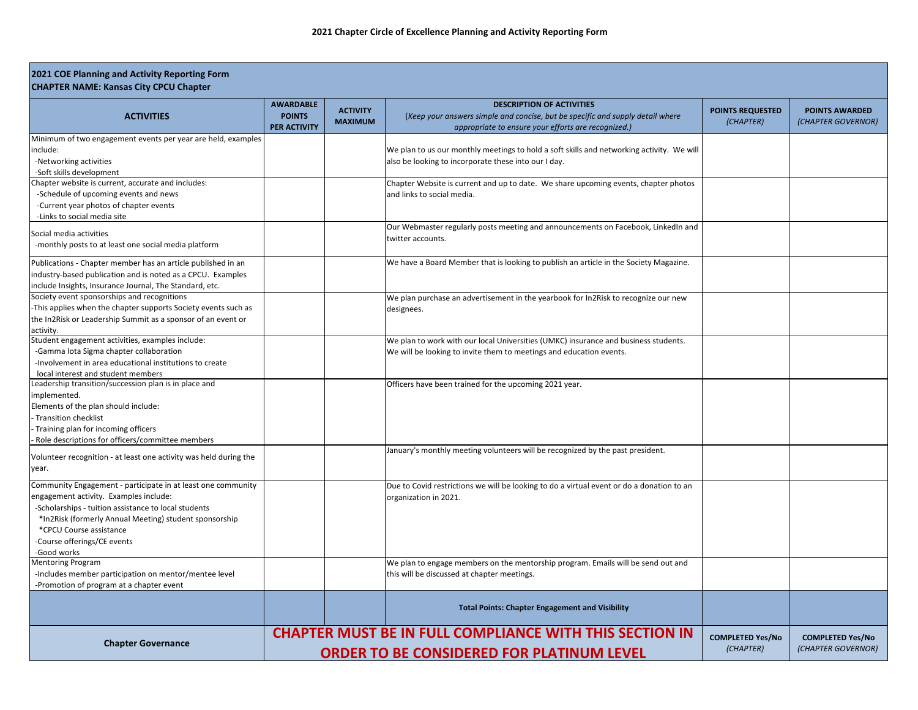## **2021 COE Planning and Activity Reporting Form CHAPTER NAME: Kansas City CPCU Chapter**

| <b>ACTIVITIES</b>                                                                                                                                                                                                                                                                                 | <b>AWARDABLE</b><br><b>POINTS</b><br><b>PER ACTIVITY</b>                                                           | <b>ACTIVITY</b><br><b>MAXIMUM</b> | <b>DESCRIPTION OF ACTIVITIES</b><br>(Keep your answers simple and concise, but be specific and supply detail where<br>appropriate to ensure your efforts are recognized.) | <b>POINTS REQUESTED</b><br>(CHAPTER) |
|---------------------------------------------------------------------------------------------------------------------------------------------------------------------------------------------------------------------------------------------------------------------------------------------------|--------------------------------------------------------------------------------------------------------------------|-----------------------------------|---------------------------------------------------------------------------------------------------------------------------------------------------------------------------|--------------------------------------|
| Minimum of two engagement events per year are held, examples<br>include:<br>-Networking activities<br>-Soft skills development                                                                                                                                                                    |                                                                                                                    |                                   | We plan to us our monthly meetings to hold a soft skills and networking activity. We will<br>also be looking to incorporate these into our I day.                         |                                      |
| Chapter website is current, accurate and includes:<br>-Schedule of upcoming events and news<br>-Current year photos of chapter events<br>-Links to social media site                                                                                                                              |                                                                                                                    |                                   | Chapter Website is current and up to date. We share upcoming events, chapter photos<br>and links to social media.                                                         |                                      |
| Social media activities<br>-monthly posts to at least one social media platform                                                                                                                                                                                                                   |                                                                                                                    |                                   | Our Webmaster regularly posts meeting and announcements on Facebook, LinkedIn and<br>twitter accounts.                                                                    |                                      |
| Publications - Chapter member has an article published in an<br>industry-based publication and is noted as a CPCU. Examples<br>include Insights, Insurance Journal, The Standard, etc.                                                                                                            |                                                                                                                    |                                   | We have a Board Member that is looking to publish an article in the Society Magazine.                                                                                     |                                      |
| Society event sponsorships and recognitions<br>-This applies when the chapter supports Society events such as<br>the In2Risk or Leadership Summit as a sponsor of an event or<br>activity.                                                                                                        |                                                                                                                    |                                   | We plan purchase an advertisement in the yearbook for In2Risk to recognize our new<br>designees.                                                                          |                                      |
| Student engagement activities, examples include:<br>-Gamma Iota Sigma chapter collaboration<br>-Involvement in area educational institutions to create<br>local interest and student members                                                                                                      |                                                                                                                    |                                   | We plan to work with our local Universities (UMKC) insurance and business students.<br>We will be looking to invite them to meetings and education events.                |                                      |
| Leadership transition/succession plan is in place and<br>implemented.<br>Elements of the plan should include:<br>l- Transition checklist<br>- Training plan for incoming officers<br>- Role descriptions for officers/committee members                                                           |                                                                                                                    |                                   | Officers have been trained for the upcoming 2021 year.                                                                                                                    |                                      |
| Volunteer recognition - at least one activity was held during the<br>year.                                                                                                                                                                                                                        |                                                                                                                    |                                   | January's monthly meeting volunteers will be recognized by the past president.                                                                                            |                                      |
| Community Engagement - participate in at least one community<br>engagement activity. Examples include:<br>-Scholarships - tuition assistance to local students<br>*In2Risk (formerly Annual Meeting) student sponsorship<br>*CPCU Course assistance<br>-Course offerings/CE events<br>-Good works |                                                                                                                    |                                   | Due to Covid restrictions we will be looking to do a virtual event or do a donation to an<br>organization in 2021.                                                        |                                      |
| <b>Mentoring Program</b><br>-Includes member participation on mentor/mentee level<br>-Promotion of program at a chapter event                                                                                                                                                                     |                                                                                                                    |                                   | We plan to engage members on the mentorship program. Emails will be send out and<br>this will be discussed at chapter meetings.                                           |                                      |
|                                                                                                                                                                                                                                                                                                   |                                                                                                                    |                                   | <b>Total Points: Chapter Engagement and Visibility</b>                                                                                                                    |                                      |
| <b>Chapter Governance</b>                                                                                                                                                                                                                                                                         | <b>CHAPTER MUST BE IN FULL COMPLIANCE WITH THIS SECTION IN</b><br><b>ORDER TO BE CONSIDERED FOR PLATINUM LEVEL</b> |                                   | <b>COMPLETED Yes/No</b><br>(CHAPTER)                                                                                                                                      |                                      |

| tail where       | <b>POINTS REQUESTED</b><br>(CHAPTER) | <b>POINTS AWARDED</b><br>(CHAPTER GOVERNOR)   |
|------------------|--------------------------------------|-----------------------------------------------|
| ctivity. We will |                                      |                                               |
| apter photos     |                                      |                                               |
| c, LinkedIn and  |                                      |                                               |
| y Magazine.      |                                      |                                               |
| ize our new      |                                      |                                               |
| s students.      |                                      |                                               |
|                  |                                      |                                               |
| dent.            |                                      |                                               |
| onation to an    |                                      |                                               |
| end out and      |                                      |                                               |
|                  |                                      |                                               |
| <b>TION IN</b>   | <b>COMPLETED Yes/No</b><br>(CHAPTER) | <b>COMPLETED Yes/No</b><br>(CHAPTER GOVERNOR) |